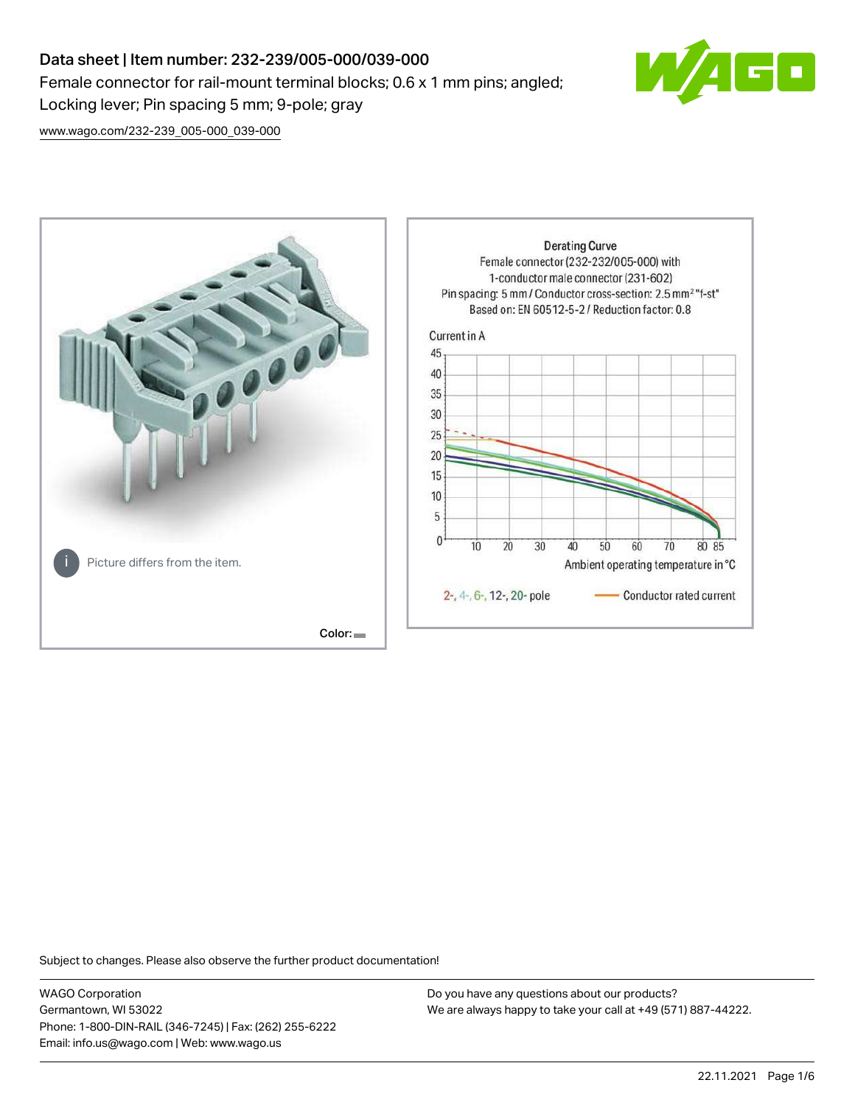# Data sheet | Item number: 232-239/005-000/039-000 Female connector for rail-mount terminal blocks; 0.6 x 1 mm pins; angled; Locking lever; Pin spacing 5 mm; 9-pole; gray



[www.wago.com/232-239\\_005-000\\_039-000](http://www.wago.com/232-239_005-000_039-000)



Subject to changes. Please also observe the further product documentation!

WAGO Corporation Germantown, WI 53022 Phone: 1-800-DIN-RAIL (346-7245) | Fax: (262) 255-6222 Email: info.us@wago.com | Web: www.wago.us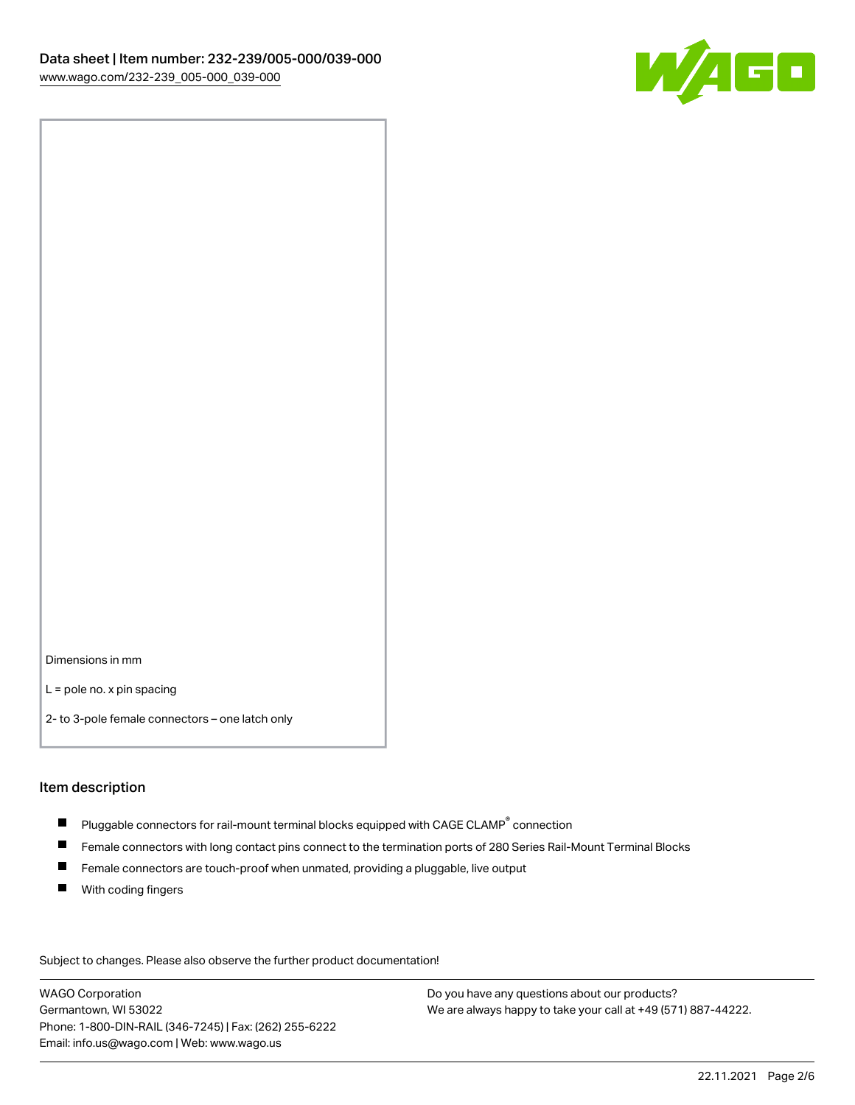

Dimensions in mm

L = pole no. x pin spacing

2- to 3-pole female connectors – one latch only

#### Item description

- $\blacksquare$  Pluggable connectors for rail-mount terminal blocks equipped with CAGE CLAMP $^\circ$  connection
- Female connectors with long contact pins connect to the termination ports of 280 Series Rail-Mount Terminal Blocks
- $\blacksquare$ Female connectors are touch-proof when unmated, providing a pluggable, live output
- $\blacksquare$ With coding fingers

Subject to changes. Please also observe the further product documentation! Data

WAGO Corporation Germantown, WI 53022 Phone: 1-800-DIN-RAIL (346-7245) | Fax: (262) 255-6222 Email: info.us@wago.com | Web: www.wago.us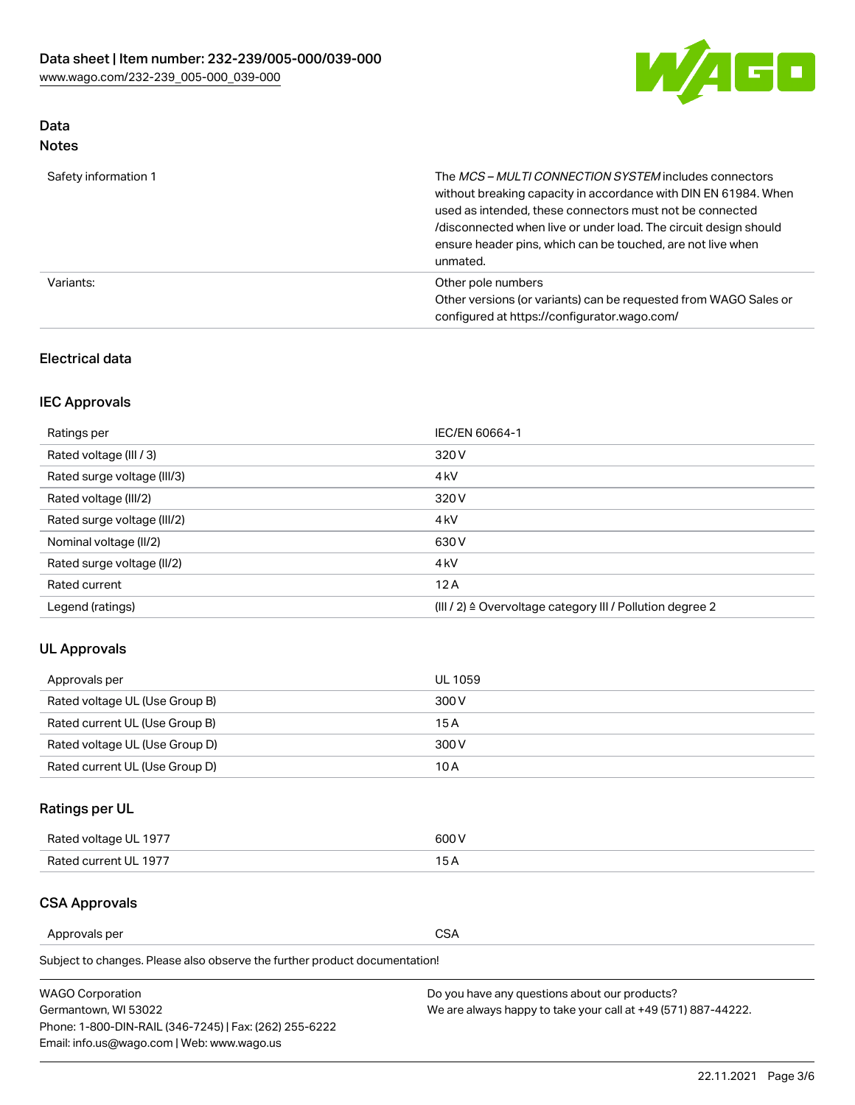

# Data

| Safety information 1 | The MCS-MULTI CONNECTION SYSTEM includes connectors<br>without breaking capacity in accordance with DIN EN 61984. When<br>used as intended, these connectors must not be connected<br>/disconnected when live or under load. The circuit design should<br>ensure header pins, which can be touched, are not live when<br>unmated. |
|----------------------|-----------------------------------------------------------------------------------------------------------------------------------------------------------------------------------------------------------------------------------------------------------------------------------------------------------------------------------|
| Variants:            | Other pole numbers<br>Other versions (or variants) can be requested from WAGO Sales or<br>configured at https://configurator.wago.com/                                                                                                                                                                                            |

# Electrical data

# IEC Approvals

| Ratings per                 | IEC/EN 60664-1                                                        |
|-----------------------------|-----------------------------------------------------------------------|
| Rated voltage (III / 3)     | 320 V                                                                 |
| Rated surge voltage (III/3) | 4 <sub>k</sub> V                                                      |
| Rated voltage (III/2)       | 320 V                                                                 |
| Rated surge voltage (III/2) | 4 <sub>k</sub> V                                                      |
| Nominal voltage (II/2)      | 630 V                                                                 |
| Rated surge voltage (II/2)  | 4 <sub>k</sub> V                                                      |
| Rated current               | 12A                                                                   |
| Legend (ratings)            | $(III / 2)$ $\triangle$ Overvoltage category III / Pollution degree 2 |

# UL Approvals

| Approvals per                  | UL 1059 |
|--------------------------------|---------|
| Rated voltage UL (Use Group B) | 300 V   |
| Rated current UL (Use Group B) | 15 A    |
| Rated voltage UL (Use Group D) | 300 V   |
| Rated current UL (Use Group D) | 10 A    |

# Ratings per UL

| Rated voltage UL 1977 | 300 V |
|-----------------------|-------|
| Rated current UL 1977 |       |

# CSA Approvals

Approvals per CSA

Subject to changes. Please also observe the further product documentation!

| <b>WAGO Corporation</b>                                | Do you have any questions about our products?                 |
|--------------------------------------------------------|---------------------------------------------------------------|
| Germantown, WI 53022                                   | We are always happy to take your call at +49 (571) 887-44222. |
| Phone: 1-800-DIN-RAIL (346-7245)   Fax: (262) 255-6222 |                                                               |
| Email: info.us@wago.com   Web: www.wago.us             |                                                               |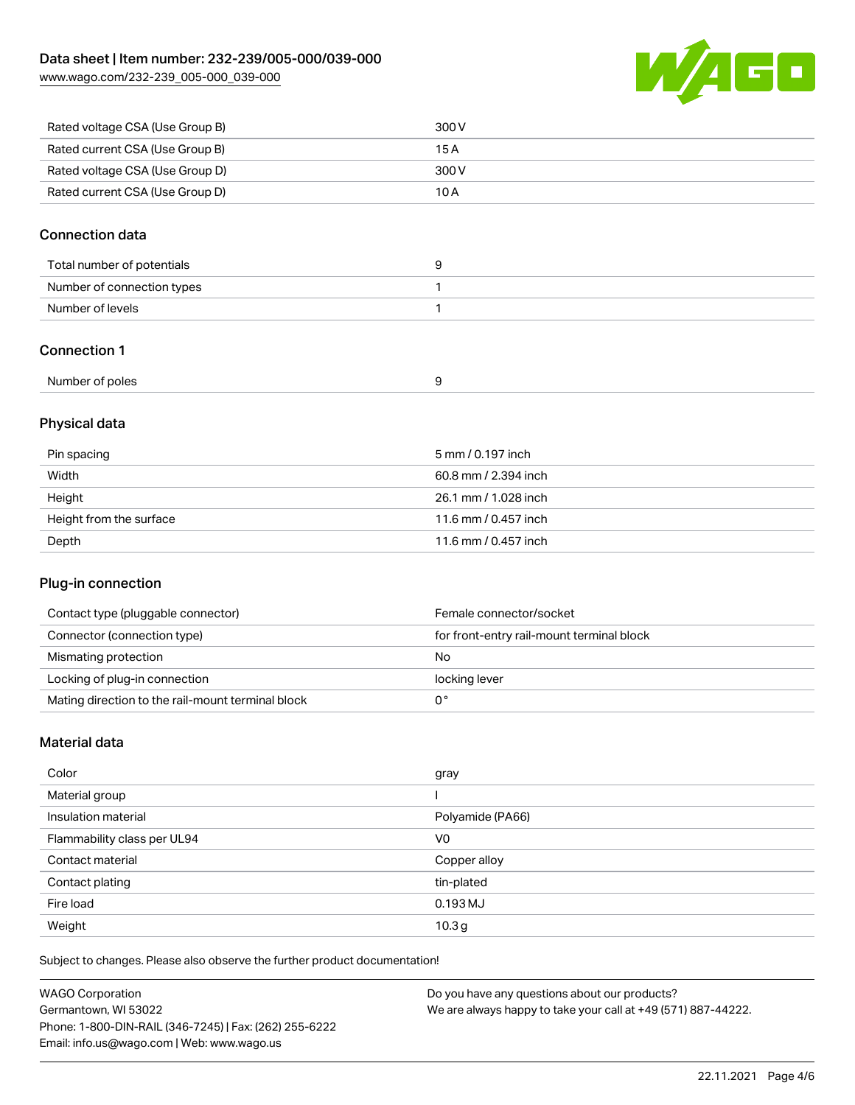[www.wago.com/232-239\\_005-000\\_039-000](http://www.wago.com/232-239_005-000_039-000)



| Rated voltage CSA (Use Group B) | 300 V |
|---------------------------------|-------|
| Rated current CSA (Use Group B) | 15 A  |
| Rated voltage CSA (Use Group D) | 300 V |
| Rated current CSA (Use Group D) | 10 A  |

# Connection data

| Total number of potentials |  |
|----------------------------|--|
| Number of connection types |  |
| Number of levels           |  |

## Connection 1

| Number of poles |  |
|-----------------|--|
|-----------------|--|

# Physical data

| Pin spacing             | 5 mm / 0.197 inch    |
|-------------------------|----------------------|
| Width                   | 60.8 mm / 2.394 inch |
| Height                  | 26.1 mm / 1.028 inch |
| Height from the surface | 11.6 mm / 0.457 inch |
| Depth                   | 11.6 mm / 0.457 inch |

## Plug-in connection

| Contact type (pluggable connector)                | Female connector/socket                   |
|---------------------------------------------------|-------------------------------------------|
| Connector (connection type)                       | for front-entry rail-mount terminal block |
| Mismating protection                              | No                                        |
| Locking of plug-in connection                     | locking lever                             |
| Mating direction to the rail-mount terminal block |                                           |

# Material data

| Color                       | gray              |
|-----------------------------|-------------------|
| Material group              |                   |
| Insulation material         | Polyamide (PA66)  |
| Flammability class per UL94 | V <sub>0</sub>    |
| Contact material            | Copper alloy      |
| Contact plating             | tin-plated        |
| Fire load                   | 0.193 MJ          |
| Weight                      | 10.3 <sub>g</sub> |

Subject to changes. Please also observe the further product documentation!

| <b>WAGO Corporation</b>                                | Do you have any questions about our products?                 |
|--------------------------------------------------------|---------------------------------------------------------------|
| Germantown, WI 53022                                   | We are always happy to take your call at +49 (571) 887-44222. |
| Phone: 1-800-DIN-RAIL (346-7245)   Fax: (262) 255-6222 |                                                               |
| Email: info.us@wago.com   Web: www.wago.us             |                                                               |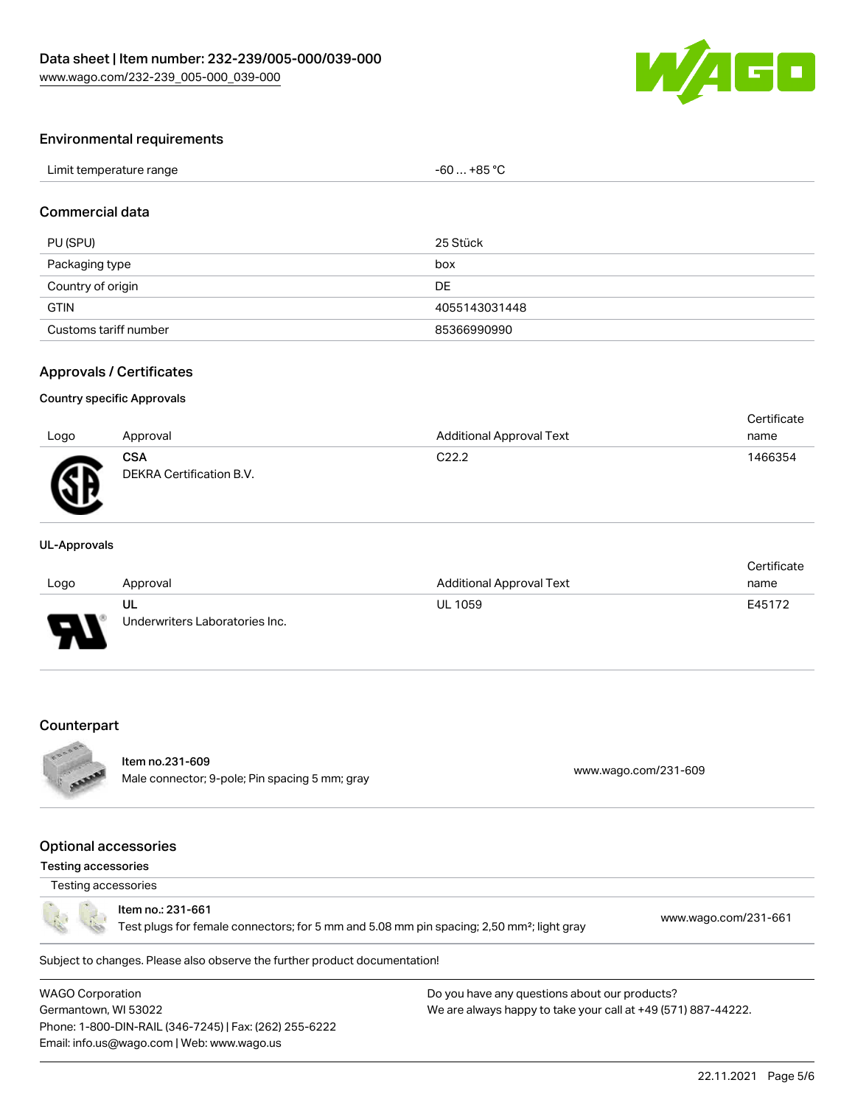

#### Environmental requirements

| Limit temperature range | $-60+85 °C$ |
|-------------------------|-------------|
|-------------------------|-------------|

## Commercial data

| PU (SPU)              | 25 Stück      |
|-----------------------|---------------|
| Packaging type        | box           |
| Country of origin     | DE            |
| <b>GTIN</b>           | 4055143031448 |
| Customs tariff number | 85366990990   |

#### Approvals / Certificates

#### Country specific Approvals

| Logo         | Approval                               | <b>Additional Approval Text</b> | Certificate<br>name |
|--------------|----------------------------------------|---------------------------------|---------------------|
| $\mathbb{R}$ | <b>CSA</b><br>DEKRA Certification B.V. | C <sub>22.2</sub>               | 1466354             |

#### UL-Approvals

|      |                                |                                 | Certificate |
|------|--------------------------------|---------------------------------|-------------|
| Logo | Approval                       | <b>Additional Approval Text</b> | name        |
|      | UL                             | <b>UL 1059</b>                  | E45172      |
| J    | Underwriters Laboratories Inc. |                                 |             |

#### **Counterpart**



# Item no.231-609

nem no.251-609<br>Male connector; 9-pole; Pin spacing 5 mm; gray [www.wago.com/231-609](https://www.wago.com/231-609)

#### Optional accessories

# Testing accessories

# Testing accessories

Item no.: 231-661

Test plugs for female connectors; for 5 mm and 5.08 mm pin spacing; 2,50 mm²; light gray [www.wago.com/231-661](http://www.wago.com/231-661)

Subject to changes. Please also observe the further product documentation!

WAGO Corporation Germantown, WI 53022 Phone: 1-800-DIN-RAIL (346-7245) | Fax: (262) 255-6222 Email: info.us@wago.com | Web: www.wago.us